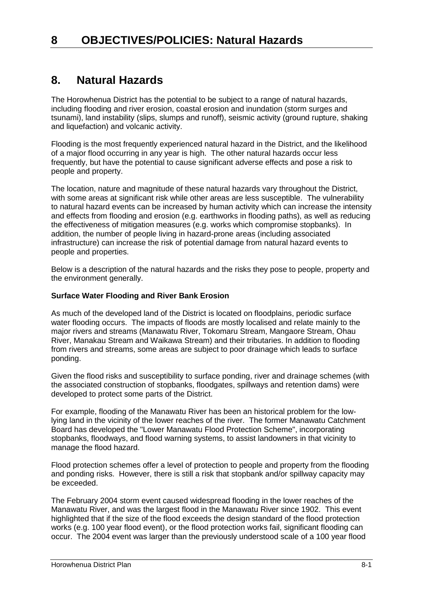# **8. Natural Hazards**

The Horowhenua District has the potential to be subject to a range of natural hazards, including flooding and river erosion, coastal erosion and inundation (storm surges and tsunami), land instability (slips, slumps and runoff), seismic activity (ground rupture, shaking and liquefaction) and volcanic activity.

Flooding is the most frequently experienced natural hazard in the District, and the likelihood of a major flood occurring in any year is high. The other natural hazards occur less frequently, but have the potential to cause significant adverse effects and pose a risk to people and property.

The location, nature and magnitude of these natural hazards vary throughout the District, with some areas at significant risk while other areas are less susceptible. The vulnerability to natural hazard events can be increased by human activity which can increase the intensity and effects from flooding and erosion (e.g. earthworks in flooding paths), as well as reducing the effectiveness of mitigation measures (e.g. works which compromise stopbanks). In addition, the number of people living in hazard-prone areas (including associated infrastructure) can increase the risk of potential damage from natural hazard events to people and properties.

Below is a description of the natural hazards and the risks they pose to people, property and the environment generally.

#### **Surface Water Flooding and River Bank Erosion**

As much of the developed land of the District is located on floodplains, periodic surface water flooding occurs. The impacts of floods are mostly localised and relate mainly to the major rivers and streams (Manawatu River, Tokomaru Stream, Mangaore Stream, Ohau River, Manakau Stream and Waikawa Stream) and their tributaries. In addition to flooding from rivers and streams, some areas are subject to poor drainage which leads to surface ponding.

Given the flood risks and susceptibility to surface ponding, river and drainage schemes (with the associated construction of stopbanks, floodgates, spillways and retention dams) were developed to protect some parts of the District.

For example, flooding of the Manawatu River has been an historical problem for the lowlying land in the vicinity of the lower reaches of the river. The former Manawatu Catchment Board has developed the "Lower Manawatu Flood Protection Scheme", incorporating stopbanks, floodways, and flood warning systems, to assist landowners in that vicinity to manage the flood hazard.

Flood protection schemes offer a level of protection to people and property from the flooding and ponding risks. However, there is still a risk that stopbank and/or spillway capacity may be exceeded.

The February 2004 storm event caused widespread flooding in the lower reaches of the Manawatu River, and was the largest flood in the Manawatu River since 1902. This event highlighted that if the size of the flood exceeds the design standard of the flood protection works (e.g. 100 year flood event), or the flood protection works fail, significant flooding can occur. The 2004 event was larger than the previously understood scale of a 100 year flood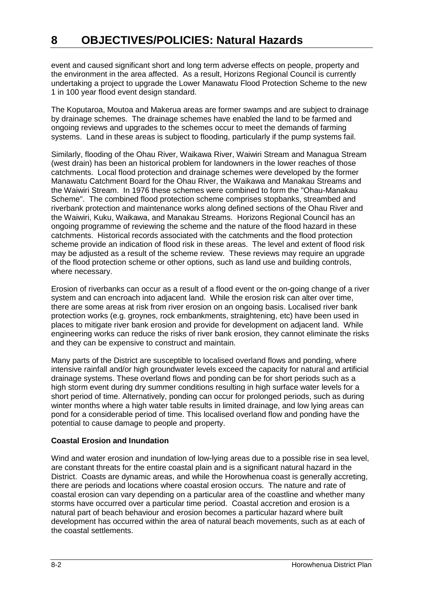event and caused significant short and long term adverse effects on people, property and the environment in the area affected. As a result, Horizons Regional Council is currently undertaking a project to upgrade the Lower Manawatu Flood Protection Scheme to the new 1 in 100 year flood event design standard.

The Koputaroa, Moutoa and Makerua areas are former swamps and are subject to drainage by drainage schemes. The drainage schemes have enabled the land to be farmed and ongoing reviews and upgrades to the schemes occur to meet the demands of farming systems. Land in these areas is subject to flooding, particularly if the pump systems fail.

Similarly, flooding of the Ohau River, Waikawa River, Waiwiri Stream and Managua Stream (west drain) has been an historical problem for landowners in the lower reaches of those catchments. Local flood protection and drainage schemes were developed by the former Manawatu Catchment Board for the Ohau River, the Waikawa and Manakau Streams and the Waiwiri Stream. In 1976 these schemes were combined to form the "Ohau-Manakau Scheme". The combined flood protection scheme comprises stopbanks, streambed and riverbank protection and maintenance works along defined sections of the Ohau River and the Waiwiri, Kuku, Waikawa, and Manakau Streams. Horizons Regional Council has an ongoing programme of reviewing the scheme and the nature of the flood hazard in these catchments. Historical records associated with the catchments and the flood protection scheme provide an indication of flood risk in these areas. The level and extent of flood risk may be adjusted as a result of the scheme review. These reviews may require an upgrade of the flood protection scheme or other options, such as land use and building controls, where necessary.

Erosion of riverbanks can occur as a result of a flood event or the on-going change of a river system and can encroach into adjacent land. While the erosion risk can alter over time, there are some areas at risk from river erosion on an ongoing basis. Localised river bank protection works (e.g. groynes, rock embankments, straightening, etc) have been used in places to mitigate river bank erosion and provide for development on adjacent land. While engineering works can reduce the risks of river bank erosion, they cannot eliminate the risks and they can be expensive to construct and maintain.

Many parts of the District are susceptible to localised overland flows and ponding, where intensive rainfall and/or high groundwater levels exceed the capacity for natural and artificial drainage systems. These overland flows and ponding can be for short periods such as a high storm event during dry summer conditions resulting in high surface water levels for a short period of time. Alternatively, ponding can occur for prolonged periods, such as during winter months where a high water table results in limited drainage, and low lying areas can pond for a considerable period of time. This localised overland flow and ponding have the potential to cause damage to people and property.

## **Coastal Erosion and Inundation**

Wind and water erosion and inundation of low-lying areas due to a possible rise in sea level, are constant threats for the entire coastal plain and is a significant natural hazard in the District. Coasts are dynamic areas, and while the Horowhenua coast is generally accreting, there are periods and locations where coastal erosion occurs. The nature and rate of coastal erosion can vary depending on a particular area of the coastline and whether many storms have occurred over a particular time period. Coastal accretion and erosion is a natural part of beach behaviour and erosion becomes a particular hazard where built development has occurred within the area of natural beach movements, such as at each of the coastal settlements.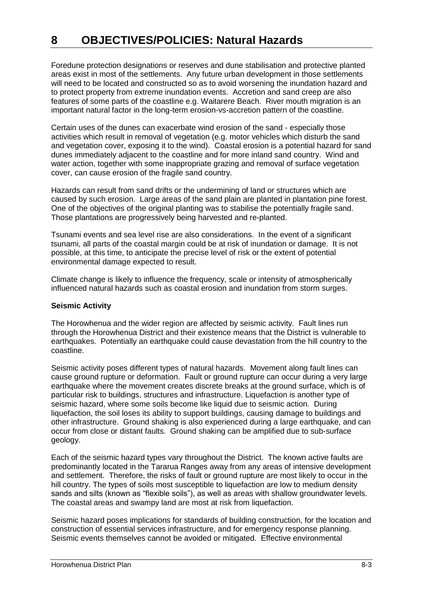Foredune protection designations or reserves and dune stabilisation and protective planted areas exist in most of the settlements. Any future urban development in those settlements will need to be located and constructed so as to avoid worsening the inundation hazard and to protect property from extreme inundation events. Accretion and sand creep are also features of some parts of the coastline e.g. Waitarere Beach. River mouth migration is an important natural factor in the long-term erosion-vs-accretion pattern of the coastline.

Certain uses of the dunes can exacerbate wind erosion of the sand - especially those activities which result in removal of vegetation (e.g. motor vehicles which disturb the sand and vegetation cover, exposing it to the wind). Coastal erosion is a potential hazard for sand dunes immediately adjacent to the coastline and for more inland sand country. Wind and water action, together with some inappropriate grazing and removal of surface vegetation cover, can cause erosion of the fragile sand country.

Hazards can result from sand drifts or the undermining of land or structures which are caused by such erosion. Large areas of the sand plain are planted in plantation pine forest. One of the objectives of the original planting was to stabilise the potentially fragile sand. Those plantations are progressively being harvested and re-planted.

Tsunami events and sea level rise are also considerations. In the event of a significant tsunami, all parts of the coastal margin could be at risk of inundation or damage. It is not possible, at this time, to anticipate the precise level of risk or the extent of potential environmental damage expected to result.

Climate change is likely to influence the frequency, scale or intensity of atmospherically influenced natural hazards such as coastal erosion and inundation from storm surges.

#### **Seismic Activity**

The Horowhenua and the wider region are affected by seismic activity. Fault lines run through the Horowhenua District and their existence means that the District is vulnerable to earthquakes. Potentially an earthquake could cause devastation from the hill country to the coastline.

Seismic activity poses different types of natural hazards. Movement along fault lines can cause ground rupture or deformation. Fault or ground rupture can occur during a very large earthquake where the movement creates discrete breaks at the ground surface, which is of particular risk to buildings, structures and infrastructure. Liquefaction is another type of seismic hazard, where some soils become like liquid due to seismic action. During liquefaction, the soil loses its ability to support buildings, causing damage to buildings and other infrastructure. Ground shaking is also experienced during a large earthquake, and can occur from close or distant faults. Ground shaking can be amplified due to sub-surface geology.

Each of the seismic hazard types vary throughout the District. The known active faults are predominantly located in the Tararua Ranges away from any areas of intensive development and settlement. Therefore, the risks of fault or ground rupture are most likely to occur in the hill country. The types of soils most susceptible to liquefaction are low to medium density sands and silts (known as "flexible soils"), as well as areas with shallow groundwater levels. The coastal areas and swampy land are most at risk from liquefaction.

Seismic hazard poses implications for standards of building construction, for the location and construction of essential services infrastructure, and for emergency response planning. Seismic events themselves cannot be avoided or mitigated. Effective environmental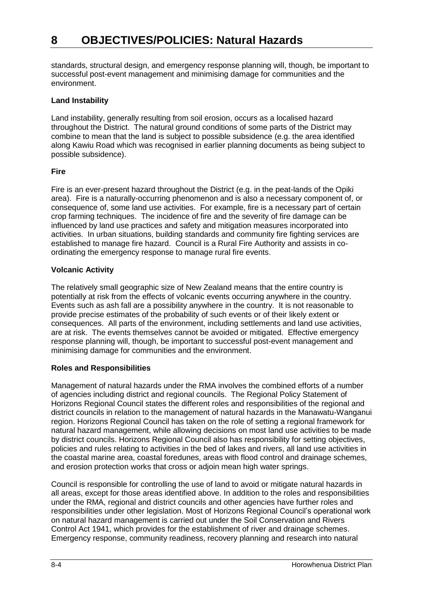standards, structural design, and emergency response planning will, though, be important to successful post-event management and minimising damage for communities and the environment.

#### **Land Instability**

Land instability, generally resulting from soil erosion, occurs as a localised hazard throughout the District. The natural ground conditions of some parts of the District may combine to mean that the land is subject to possible subsidence (e.g. the area identified along Kawiu Road which was recognised in earlier planning documents as being subject to possible subsidence).

#### **Fire**

Fire is an ever-present hazard throughout the District (e.g. in the peat-lands of the Opiki area). Fire is a naturally-occurring phenomenon and is also a necessary component of, or consequence of, some land use activities. For example, fire is a necessary part of certain crop farming techniques. The incidence of fire and the severity of fire damage can be influenced by land use practices and safety and mitigation measures incorporated into activities. In urban situations, building standards and community fire fighting services are established to manage fire hazard. Council is a Rural Fire Authority and assists in coordinating the emergency response to manage rural fire events.

#### **Volcanic Activity**

The relatively small geographic size of New Zealand means that the entire country is potentially at risk from the effects of volcanic events occurring anywhere in the country. Events such as ash fall are a possibility anywhere in the country. It is not reasonable to provide precise estimates of the probability of such events or of their likely extent or consequences. All parts of the environment, including settlements and land use activities, are at risk. The events themselves cannot be avoided or mitigated. Effective emergency response planning will, though, be important to successful post-event management and minimising damage for communities and the environment.

## **Roles and Responsibilities**

Management of natural hazards under the RMA involves the combined efforts of a number of agencies including district and regional councils. The Regional Policy Statement of Horizons Regional Council states the different roles and responsibilities of the regional and district councils in relation to the management of natural hazards in the Manawatu-Wanganui region. Horizons Regional Council has taken on the role of setting a regional framework for natural hazard management, while allowing decisions on most land use activities to be made by district councils. Horizons Regional Council also has responsibility for setting objectives, policies and rules relating to activities in the bed of lakes and rivers, all land use activities in the coastal marine area, coastal foredunes, areas with flood control and drainage schemes, and erosion protection works that cross or adjoin mean high water springs.

Council is responsible for controlling the use of land to avoid or mitigate natural hazards in all areas, except for those areas identified above. In addition to the roles and responsibilities under the RMA, regional and district councils and other agencies have further roles and responsibilities under other legislation. Most of Horizons Regional Council's operational work on natural hazard management is carried out under the Soil Conservation and Rivers Control Act 1941, which provides for the establishment of river and drainage schemes. Emergency response, community readiness, recovery planning and research into natural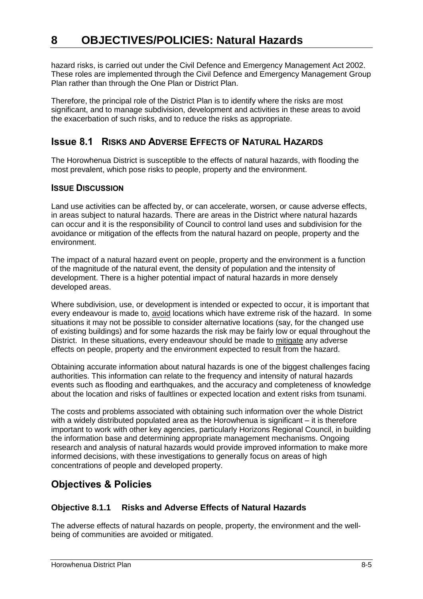hazard risks, is carried out under the Civil Defence and Emergency Management Act 2002. These roles are implemented through the Civil Defence and Emergency Management Group Plan rather than through the One Plan or District Plan.

Therefore, the principal role of the District Plan is to identify where the risks are most significant, and to manage subdivision, development and activities in these areas to avoid the exacerbation of such risks, and to reduce the risks as appropriate.

# **Issue 8.1 RISKS AND ADVERSE EFFECTS OF NATURAL HAZARDS**

The Horowhenua District is susceptible to the effects of natural hazards, with flooding the most prevalent, which pose risks to people, property and the environment.

# **ISSUE DISCUSSION**

Land use activities can be affected by, or can accelerate, worsen, or cause adverse effects, in areas subject to natural hazards. There are areas in the District where natural hazards can occur and it is the responsibility of Council to control land uses and subdivision for the avoidance or mitigation of the effects from the natural hazard on people, property and the environment.

The impact of a natural hazard event on people, property and the environment is a function of the magnitude of the natural event, the density of population and the intensity of development. There is a higher potential impact of natural hazards in more densely developed areas.

Where subdivision, use, or development is intended or expected to occur, it is important that every endeavour is made to, avoid locations which have extreme risk of the hazard. In some situations it may not be possible to consider alternative locations (say, for the changed use of existing buildings) and for some hazards the risk may be fairly low or equal throughout the District. In these situations, every endeavour should be made to mitigate any adverse effects on people, property and the environment expected to result from the hazard.

Obtaining accurate information about natural hazards is one of the biggest challenges facing authorities. This information can relate to the frequency and intensity of natural hazards events such as flooding and earthquakes, and the accuracy and completeness of knowledge about the location and risks of faultlines or expected location and extent risks from tsunami.

The costs and problems associated with obtaining such information over the whole District with a widely distributed populated area as the Horowhenua is significant – it is therefore important to work with other key agencies, particularly Horizons Regional Council, in building the information base and determining appropriate management mechanisms. Ongoing research and analysis of natural hazards would provide improved information to make more informed decisions, with these investigations to generally focus on areas of high concentrations of people and developed property.

# **Objectives & Policies**

# **Objective 8.1.1 Risks and Adverse Effects of Natural Hazards**

The adverse effects of natural hazards on people, property, the environment and the wellbeing of communities are avoided or mitigated.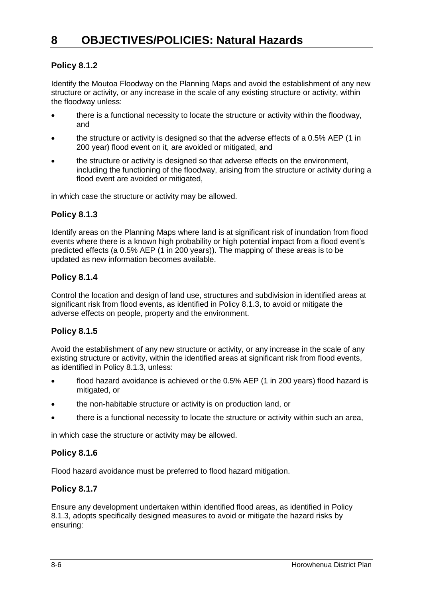# **Policy 8.1.2**

Identify the Moutoa Floodway on the Planning Maps and avoid the establishment of any new structure or activity, or any increase in the scale of any existing structure or activity, within the floodway unless:

- there is a functional necessity to locate the structure or activity within the floodway, and
- the structure or activity is designed so that the adverse effects of a 0.5% AEP (1 in 200 year) flood event on it, are avoided or mitigated, and
- the structure or activity is designed so that adverse effects on the environment, including the functioning of the floodway, arising from the structure or activity during a flood event are avoided or mitigated,

in which case the structure or activity may be allowed.

# **Policy 8.1.3**

Identify areas on the Planning Maps where land is at significant risk of inundation from flood events where there is a known high probability or high potential impact from a flood event's predicted effects (a 0.5% AEP (1 in 200 years)). The mapping of these areas is to be updated as new information becomes available.

# **Policy 8.1.4**

Control the location and design of land use, structures and subdivision in identified areas at significant risk from flood events, as identified in Policy 8.1.3, to avoid or mitigate the adverse effects on people, property and the environment.

# **Policy 8.1.5**

Avoid the establishment of any new structure or activity, or any increase in the scale of any existing structure or activity, within the identified areas at significant risk from flood events, as identified in Policy 8.1.3, unless:

- flood hazard avoidance is achieved or the 0.5% AEP (1 in 200 years) flood hazard is mitigated, or
- the non-habitable structure or activity is on production land, or
- there is a functional necessity to locate the structure or activity within such an area,

in which case the structure or activity may be allowed.

# **Policy 8.1.6**

Flood hazard avoidance must be preferred to flood hazard mitigation.

# **Policy 8.1.7**

Ensure any development undertaken within identified flood areas, as identified in Policy 8.1.3, adopts specifically designed measures to avoid or mitigate the hazard risks by ensuring: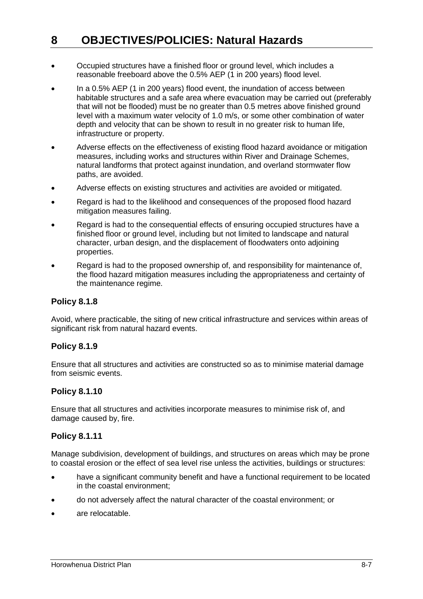- Occupied structures have a finished floor or ground level, which includes a reasonable freeboard above the 0.5% AEP (1 in 200 years) flood level.
- In a 0.5% AEP (1 in 200 years) flood event, the inundation of access between habitable structures and a safe area where evacuation may be carried out (preferably that will not be flooded) must be no greater than 0.5 metres above finished ground level with a maximum water velocity of 1.0 m/s, or some other combination of water depth and velocity that can be shown to result in no greater risk to human life, infrastructure or property.
- Adverse effects on the effectiveness of existing flood hazard avoidance or mitigation measures, including works and structures within River and Drainage Schemes, natural landforms that protect against inundation, and overland stormwater flow paths, are avoided.
- Adverse effects on existing structures and activities are avoided or mitigated.
- Regard is had to the likelihood and consequences of the proposed flood hazard mitigation measures failing.
- Regard is had to the consequential effects of ensuring occupied structures have a finished floor or ground level, including but not limited to landscape and natural character, urban design, and the displacement of floodwaters onto adjoining properties.
- Regard is had to the proposed ownership of, and responsibility for maintenance of, the flood hazard mitigation measures including the appropriateness and certainty of the maintenance regime.

## **Policy 8.1.8**

Avoid, where practicable, the siting of new critical infrastructure and services within areas of significant risk from natural hazard events.

## **Policy 8.1.9**

Ensure that all structures and activities are constructed so as to minimise material damage from seismic events.

## **Policy 8.1.10**

Ensure that all structures and activities incorporate measures to minimise risk of, and damage caused by, fire.

## **Policy 8.1.11**

Manage subdivision, development of buildings, and structures on areas which may be prone to coastal erosion or the effect of sea level rise unless the activities, buildings or structures:

- have a significant community benefit and have a functional requirement to be located in the coastal environment;
- do not adversely affect the natural character of the coastal environment; or
- are relocatable.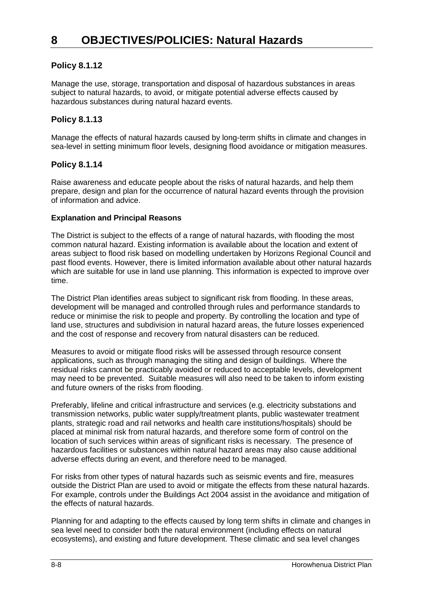# **Policy 8.1.12**

Manage the use, storage, transportation and disposal of hazardous substances in areas subject to natural hazards, to avoid, or mitigate potential adverse effects caused by hazardous substances during natural hazard events.

# **Policy 8.1.13**

Manage the effects of natural hazards caused by long-term shifts in climate and changes in sea-level in setting minimum floor levels, designing flood avoidance or mitigation measures.

## **Policy 8.1.14**

Raise awareness and educate people about the risks of natural hazards, and help them prepare, design and plan for the occurrence of natural hazard events through the provision of information and advice.

#### **Explanation and Principal Reasons**

The District is subject to the effects of a range of natural hazards, with flooding the most common natural hazard. Existing information is available about the location and extent of areas subject to flood risk based on modelling undertaken by Horizons Regional Council and past flood events. However, there is limited information available about other natural hazards which are suitable for use in land use planning. This information is expected to improve over time.

The District Plan identifies areas subject to significant risk from flooding. In these areas, development will be managed and controlled through rules and performance standards to reduce or minimise the risk to people and property. By controlling the location and type of land use, structures and subdivision in natural hazard areas, the future losses experienced and the cost of response and recovery from natural disasters can be reduced.

Measures to avoid or mitigate flood risks will be assessed through resource consent applications, such as through managing the siting and design of buildings. Where the residual risks cannot be practicably avoided or reduced to acceptable levels, development may need to be prevented. Suitable measures will also need to be taken to inform existing and future owners of the risks from flooding.

Preferably, lifeline and critical infrastructure and services (e.g. electricity substations and transmission networks, public water supply/treatment plants, public wastewater treatment plants, strategic road and rail networks and health care institutions/hospitals) should be placed at minimal risk from natural hazards, and therefore some form of control on the location of such services within areas of significant risks is necessary. The presence of hazardous facilities or substances within natural hazard areas may also cause additional adverse effects during an event, and therefore need to be managed.

For risks from other types of natural hazards such as seismic events and fire, measures outside the District Plan are used to avoid or mitigate the effects from these natural hazards. For example, controls under the Buildings Act 2004 assist in the avoidance and mitigation of the effects of natural hazards.

Planning for and adapting to the effects caused by long term shifts in climate and changes in sea level need to consider both the natural environment (including effects on natural ecosystems), and existing and future development. These climatic and sea level changes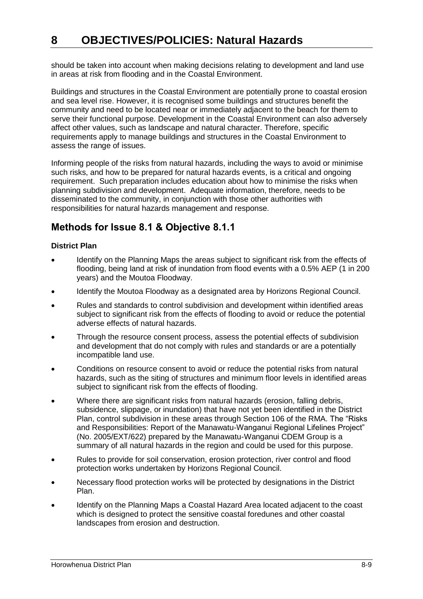should be taken into account when making decisions relating to development and land use in areas at risk from flooding and in the Coastal Environment.

Buildings and structures in the Coastal Environment are potentially prone to coastal erosion and sea level rise. However, it is recognised some buildings and structures benefit the community and need to be located near or immediately adjacent to the beach for them to serve their functional purpose. Development in the Coastal Environment can also adversely affect other values, such as landscape and natural character. Therefore, specific requirements apply to manage buildings and structures in the Coastal Environment to assess the range of issues.

Informing people of the risks from natural hazards, including the ways to avoid or minimise such risks, and how to be prepared for natural hazards events, is a critical and ongoing requirement. Such preparation includes education about how to minimise the risks when planning subdivision and development. Adequate information, therefore, needs to be disseminated to the community, in conjunction with those other authorities with responsibilities for natural hazards management and response.

# **Methods for Issue 8.1 & Objective 8.1.1**

## **District Plan**

- Identify on the Planning Maps the areas subject to significant risk from the effects of flooding, being land at risk of inundation from flood events with a 0.5% AEP (1 in 200 years) and the Moutoa Floodway.
- Identify the Moutoa Floodway as a designated area by Horizons Regional Council.
- Rules and standards to control subdivision and development within identified areas subject to significant risk from the effects of flooding to avoid or reduce the potential adverse effects of natural hazards.
- Through the resource consent process, assess the potential effects of subdivision and development that do not comply with rules and standards or are a potentially incompatible land use.
- Conditions on resource consent to avoid or reduce the potential risks from natural hazards, such as the siting of structures and minimum floor levels in identified areas subject to significant risk from the effects of flooding.
- Where there are significant risks from natural hazards (erosion, falling debris, subsidence, slippage, or inundation) that have not yet been identified in the District Plan, control subdivision in these areas through Section 106 of the RMA. The "Risks and Responsibilities: Report of the Manawatu-Wanganui Regional Lifelines Project" (No. 2005/EXT/622) prepared by the Manawatu-Wanganui CDEM Group is a summary of all natural hazards in the region and could be used for this purpose.
- Rules to provide for soil conservation, erosion protection, river control and flood protection works undertaken by Horizons Regional Council.
- Necessary flood protection works will be protected by designations in the District Plan.
- Identify on the Planning Maps a Coastal Hazard Area located adjacent to the coast which is designed to protect the sensitive coastal foredunes and other coastal landscapes from erosion and destruction.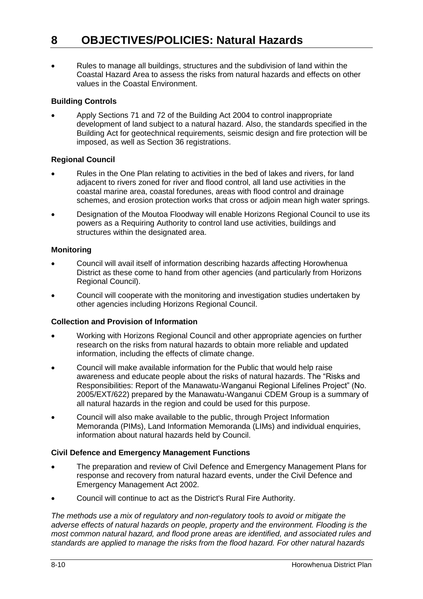Rules to manage all buildings, structures and the subdivision of land within the Coastal Hazard Area to assess the risks from natural hazards and effects on other values in the Coastal Environment.

## **Building Controls**

 Apply Sections 71 and 72 of the Building Act 2004 to control inappropriate development of land subject to a natural hazard. Also, the standards specified in the Building Act for geotechnical requirements, seismic design and fire protection will be imposed, as well as Section 36 registrations.

## **Regional Council**

- Rules in the One Plan relating to activities in the bed of lakes and rivers, for land adjacent to rivers zoned for river and flood control, all land use activities in the coastal marine area, coastal foredunes, areas with flood control and drainage schemes, and erosion protection works that cross or adjoin mean high water springs.
- Designation of the Moutoa Floodway will enable Horizons Regional Council to use its powers as a Requiring Authority to control land use activities, buildings and structures within the designated area.

#### **Monitoring**

- Council will avail itself of information describing hazards affecting Horowhenua District as these come to hand from other agencies (and particularly from Horizons Regional Council).
- Council will cooperate with the monitoring and investigation studies undertaken by other agencies including Horizons Regional Council.

## **Collection and Provision of Information**

- Working with Horizons Regional Council and other appropriate agencies on further research on the risks from natural hazards to obtain more reliable and updated information, including the effects of climate change.
- Council will make available information for the Public that would help raise awareness and educate people about the risks of natural hazards. The "Risks and Responsibilities: Report of the Manawatu-Wanganui Regional Lifelines Project" (No. 2005/EXT/622) prepared by the Manawatu-Wanganui CDEM Group is a summary of all natural hazards in the region and could be used for this purpose.
- Council will also make available to the public, through Project Information Memoranda (PIMs), Land Information Memoranda (LIMs) and individual enquiries, information about natural hazards held by Council.

## **Civil Defence and Emergency Management Functions**

- The preparation and review of Civil Defence and Emergency Management Plans for response and recovery from natural hazard events, under the Civil Defence and Emergency Management Act 2002.
- Council will continue to act as the District's Rural Fire Authority.

*The methods use a mix of regulatory and non-regulatory tools to avoid or mitigate the adverse effects of natural hazards on people, property and the environment. Flooding is the most common natural hazard, and flood prone areas are identified, and associated rules and standards are applied to manage the risks from the flood hazard. For other natural hazards*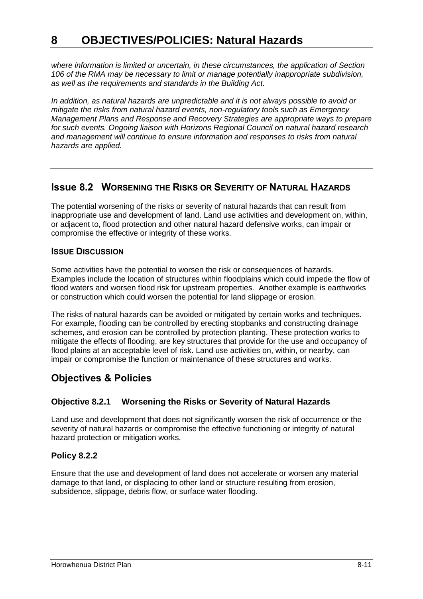*where information is limited or uncertain, in these circumstances, the application of Section 106 of the RMA may be necessary to limit or manage potentially inappropriate subdivision, as well as the requirements and standards in the Building Act.*

*In addition, as natural hazards are unpredictable and it is not always possible to avoid or mitigate the risks from natural hazard events, non-regulatory tools such as Emergency Management Plans and Response and Recovery Strategies are appropriate ways to prepare for such events. Ongoing liaison with Horizons Regional Council on natural hazard research and management will continue to ensure information and responses to risks from natural hazards are applied.*

# **Issue 8.2 WORSENING THE RISKS OR SEVERITY OF NATURAL HAZARDS**

The potential worsening of the risks or severity of natural hazards that can result from inappropriate use and development of land. Land use activities and development on, within, or adjacent to, flood protection and other natural hazard defensive works, can impair or compromise the effective or integrity of these works.

# **ISSUE DISCUSSION**

Some activities have the potential to worsen the risk or consequences of hazards. Examples include the location of structures within floodplains which could impede the flow of flood waters and worsen flood risk for upstream properties. Another example is earthworks or construction which could worsen the potential for land slippage or erosion.

The risks of natural hazards can be avoided or mitigated by certain works and techniques. For example, flooding can be controlled by erecting stopbanks and constructing drainage schemes, and erosion can be controlled by protection planting. These protection works to mitigate the effects of flooding, are key structures that provide for the use and occupancy of flood plains at an acceptable level of risk. Land use activities on, within, or nearby, can impair or compromise the function or maintenance of these structures and works.

# **Objectives & Policies**

# **Objective 8.2.1 Worsening the Risks or Severity of Natural Hazards**

Land use and development that does not significantly worsen the risk of occurrence or the severity of natural hazards or compromise the effective functioning or integrity of natural hazard protection or mitigation works.

## **Policy 8.2.2**

Ensure that the use and development of land does not accelerate or worsen any material damage to that land, or displacing to other land or structure resulting from erosion, subsidence, slippage, debris flow, or surface water flooding.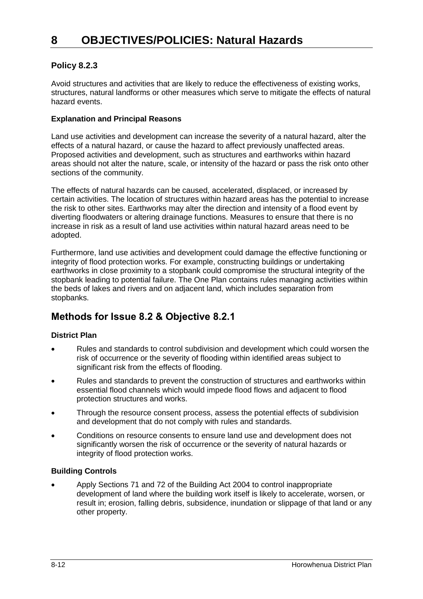# **Policy 8.2.3**

Avoid structures and activities that are likely to reduce the effectiveness of existing works, structures, natural landforms or other measures which serve to mitigate the effects of natural hazard events.

#### **Explanation and Principal Reasons**

Land use activities and development can increase the severity of a natural hazard, alter the effects of a natural hazard, or cause the hazard to affect previously unaffected areas. Proposed activities and development, such as structures and earthworks within hazard areas should not alter the nature, scale, or intensity of the hazard or pass the risk onto other sections of the community.

The effects of natural hazards can be caused, accelerated, displaced, or increased by certain activities. The location of structures within hazard areas has the potential to increase the risk to other sites. Earthworks may alter the direction and intensity of a flood event by diverting floodwaters or altering drainage functions. Measures to ensure that there is no increase in risk as a result of land use activities within natural hazard areas need to be adopted.

Furthermore, land use activities and development could damage the effective functioning or integrity of flood protection works. For example, constructing buildings or undertaking earthworks in close proximity to a stopbank could compromise the structural integrity of the stopbank leading to potential failure. The One Plan contains rules managing activities within the beds of lakes and rivers and on adjacent land, which includes separation from stopbanks.

# **Methods for Issue 8.2 & Objective 8.2.1**

## **District Plan**

- Rules and standards to control subdivision and development which could worsen the risk of occurrence or the severity of flooding within identified areas subject to significant risk from the effects of flooding.
- Rules and standards to prevent the construction of structures and earthworks within essential flood channels which would impede flood flows and adjacent to flood protection structures and works.
- Through the resource consent process, assess the potential effects of subdivision and development that do not comply with rules and standards.
- Conditions on resource consents to ensure land use and development does not significantly worsen the risk of occurrence or the severity of natural hazards or integrity of flood protection works.

#### **Building Controls**

 Apply Sections 71 and 72 of the Building Act 2004 to control inappropriate development of land where the building work itself is likely to accelerate, worsen, or result in; erosion, falling debris, subsidence, inundation or slippage of that land or any other property.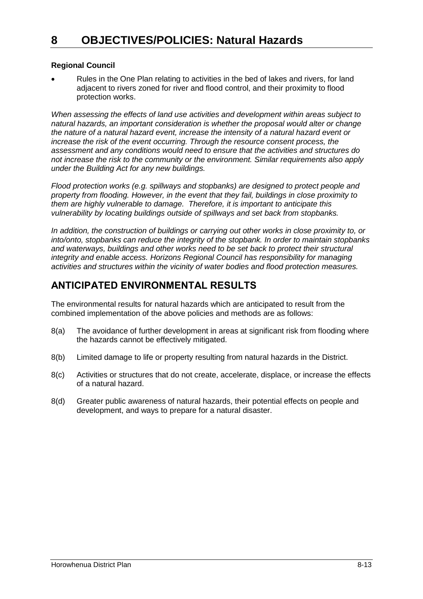## **Regional Council**

 Rules in the One Plan relating to activities in the bed of lakes and rivers, for land adjacent to rivers zoned for river and flood control, and their proximity to flood protection works.

*When assessing the effects of land use activities and development within areas subject to natural hazards, an important consideration is whether the proposal would alter or change the nature of a natural hazard event, increase the intensity of a natural hazard event or increase the risk of the event occurring. Through the resource consent process, the assessment and any conditions would need to ensure that the activities and structures do not increase the risk to the community or the environment. Similar requirements also apply under the Building Act for any new buildings.* 

*Flood protection works (e.g. spillways and stopbanks) are designed to protect people and property from flooding. However, in the event that they fail, buildings in close proximity to them are highly vulnerable to damage. Therefore, it is important to anticipate this vulnerability by locating buildings outside of spillways and set back from stopbanks.* 

*In addition, the construction of buildings or carrying out other works in close proximity to, or into/onto, stopbanks can reduce the integrity of the stopbank. In order to maintain stopbanks and waterways, buildings and other works need to be set back to protect their structural integrity and enable access. Horizons Regional Council has responsibility for managing activities and structures within the vicinity of water bodies and flood protection measures.* 

# **ANTICIPATED ENVIRONMENTAL RESULTS**

The environmental results for natural hazards which are anticipated to result from the combined implementation of the above policies and methods are as follows:

- 8(a) The avoidance of further development in areas at significant risk from flooding where the hazards cannot be effectively mitigated.
- 8(b) Limited damage to life or property resulting from natural hazards in the District.
- 8(c) Activities or structures that do not create, accelerate, displace, or increase the effects of a natural hazard.
- 8(d) Greater public awareness of natural hazards, their potential effects on people and development, and ways to prepare for a natural disaster.